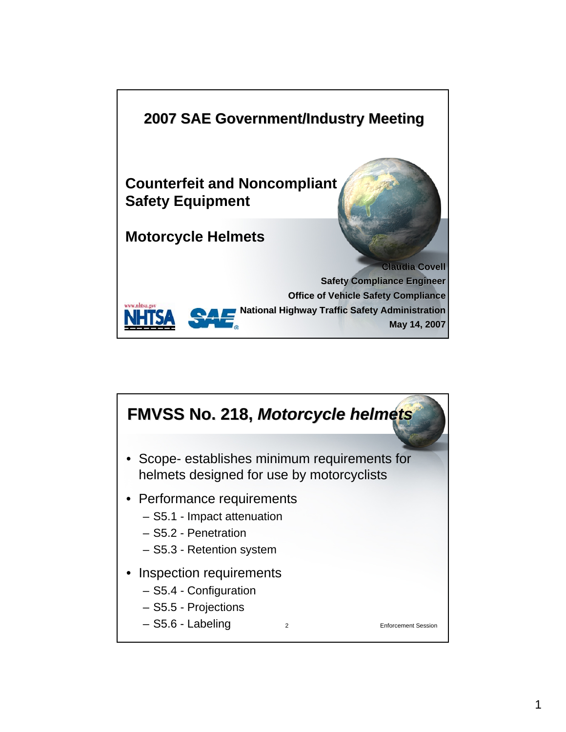

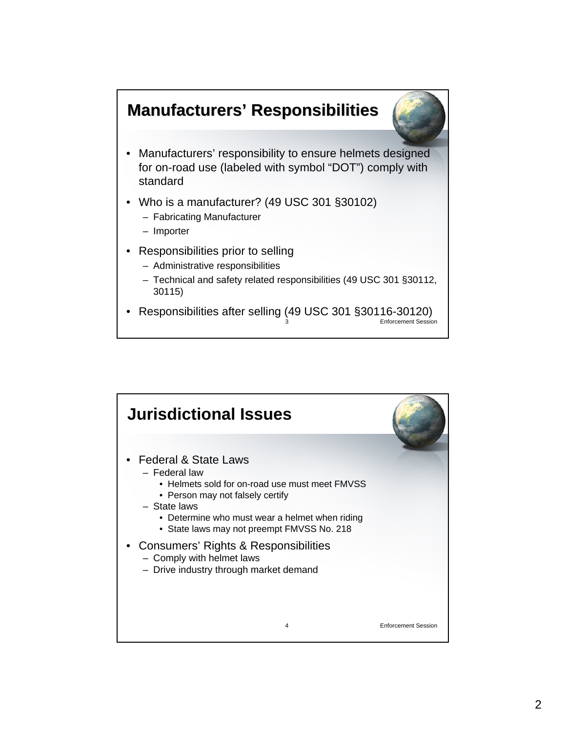## **Manufacturers Manufacturers' Responsibilities**



- Manufacturers' responsibility to ensure helmets designed for on-road use (labeled with symbol "DOT") comply with standard
- Who is a manufacturer? (49 USC 301 §30102)
	- Fabricating Manufacturer
	- Importer
- Responsibilities prior to selling
	- Administrative responsibilities
	- Technical and safety related responsibilities (49 USC 301 §30112, 30115)
- Enforcement Session • Responsibilities after selling (49 USC 301 §30116-30120)

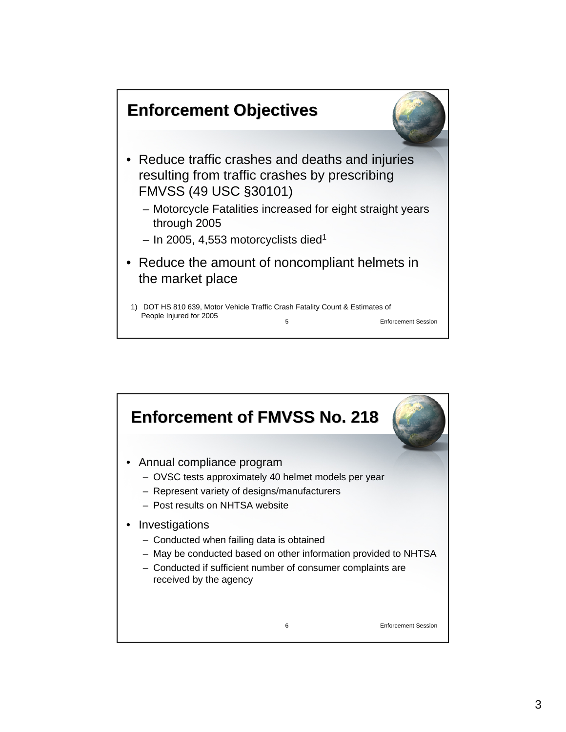

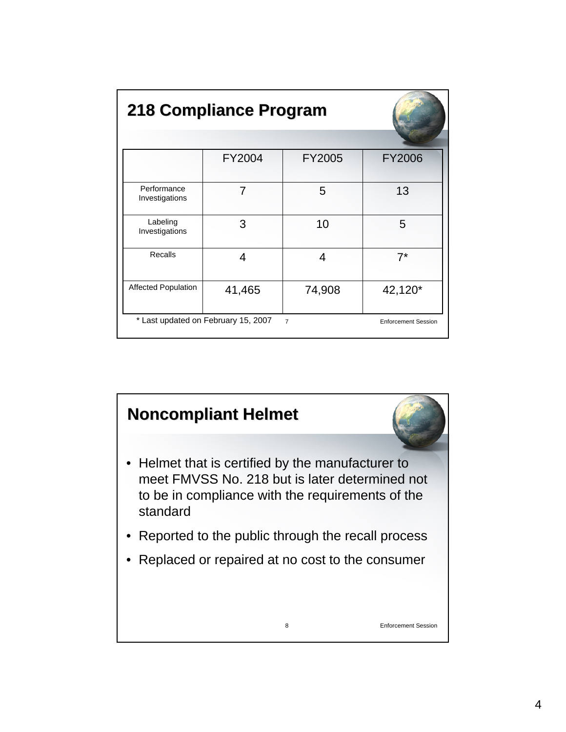| 218 Compliance Program                                                              |        |        |               |  |  |  |  |
|-------------------------------------------------------------------------------------|--------|--------|---------------|--|--|--|--|
|                                                                                     |        |        |               |  |  |  |  |
|                                                                                     | FY2004 | FY2005 | <b>FY2006</b> |  |  |  |  |
| Performance<br>Investigations                                                       | 7      | 5      | 13            |  |  |  |  |
| Labeling<br>Investigations                                                          | 3      | 10     | 5             |  |  |  |  |
| Recalls                                                                             | 4      | 4      | $7^*$         |  |  |  |  |
| <b>Affected Population</b>                                                          | 41,465 | 74,908 | 42,120*       |  |  |  |  |
| * Last updated on February 15, 2007<br>$\overline{7}$<br><b>Enforcement Session</b> |        |        |               |  |  |  |  |

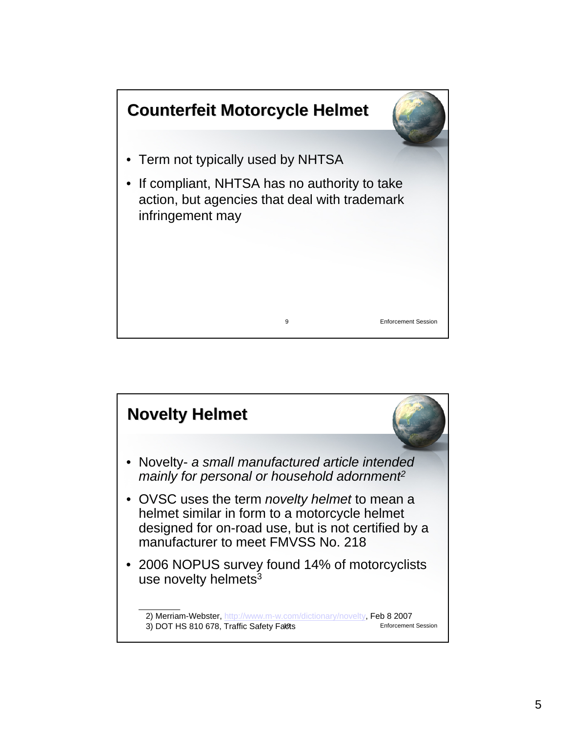

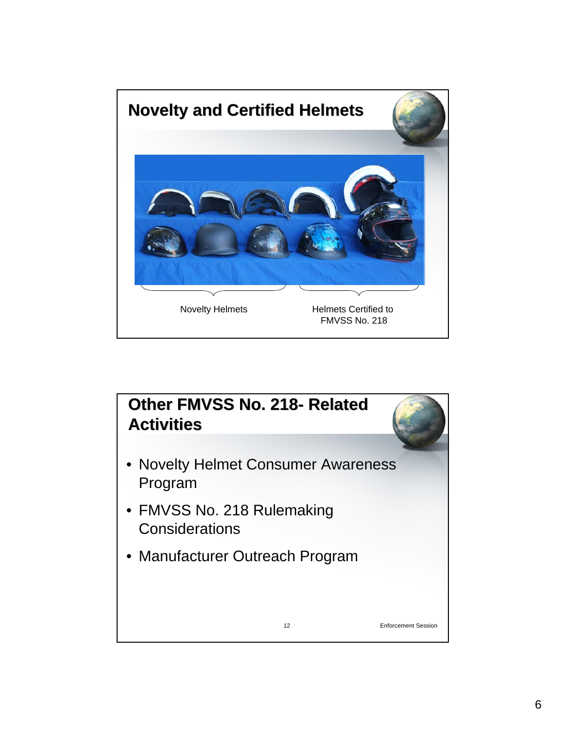

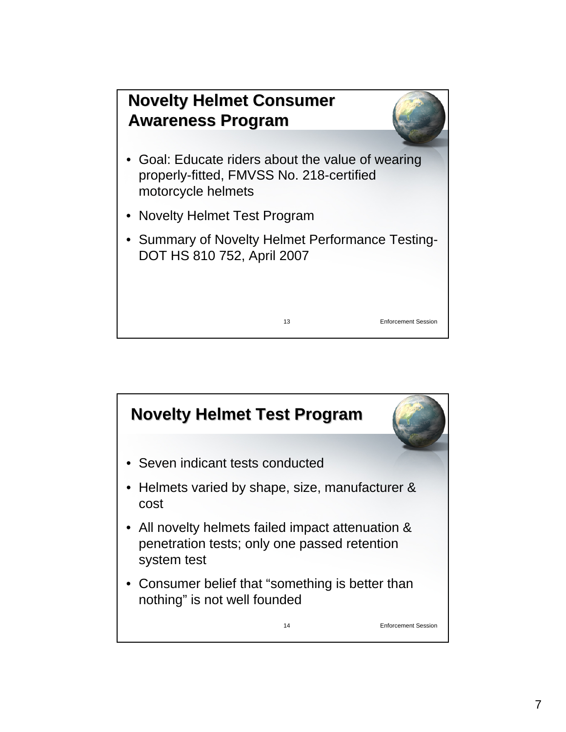

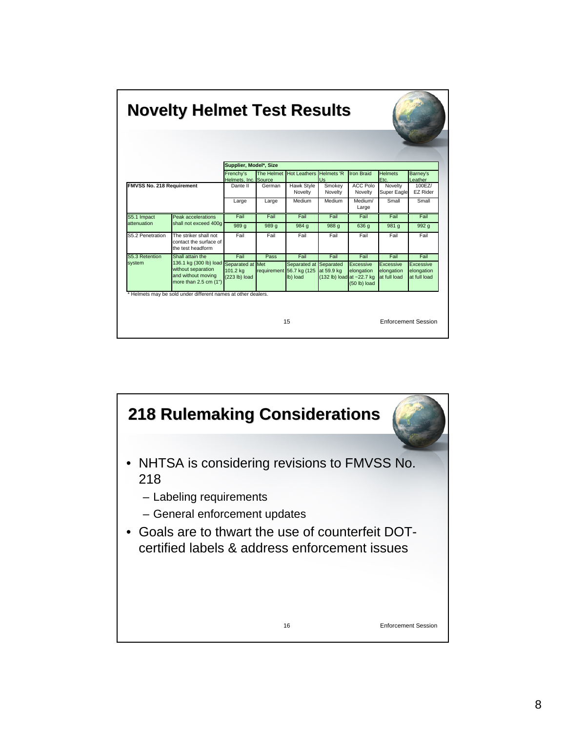| <b>Novelty Helmet Test Results</b> |                                                                                                              |                                   |            |                                                      |                                                      |                                           |                                         |                                         |  |
|------------------------------------|--------------------------------------------------------------------------------------------------------------|-----------------------------------|------------|------------------------------------------------------|------------------------------------------------------|-------------------------------------------|-----------------------------------------|-----------------------------------------|--|
|                                    |                                                                                                              | Supplier, Model*, Size            |            |                                                      |                                                      |                                           |                                         |                                         |  |
|                                    |                                                                                                              | Frenchy's<br>Helmets, Inc. Source | The Helmet | Hot Leathers Helmets 'R                              | Us                                                   | <b>Iron Braid</b>                         | <b>Helmets</b><br>Etc.                  | Barney's<br>Leather                     |  |
| <b>FMVSS No. 218 Requirement</b>   |                                                                                                              | Dante II                          | German     | <b>Hawk Style</b><br>Novelty                         | Smokey<br>Novelty                                    | <b>ACC Polo</b><br>Novelty                | Novelty<br>Super Eagle                  | 100EZ/<br><b>EZ Rider</b>               |  |
|                                    |                                                                                                              | Large                             | Large      | Medium                                               | Medium                                               | Medium/<br>Large                          | Small                                   | Small                                   |  |
| S5.1 Impact<br>attenuation         | Peak accelerations<br>shall not exceed 400q                                                                  | Fail                              | Fail       | Fail                                                 | Fail                                                 | Fail                                      | Fail                                    | Fail                                    |  |
|                                    |                                                                                                              | 989 g                             | 989 g      | 984 g                                                | 988 g                                                | 636 g                                     | 981 g                                   | 992 g                                   |  |
| S5.2 Penetration                   | The striker shall not<br>contact the surface of<br>the test headform                                         | Fail                              | Fail       | Fail                                                 | Fail                                                 | Fail                                      | Fail                                    | Fail                                    |  |
| S5.3 Retention<br>system           | Shall attain the                                                                                             | Fail                              | Pass       | Fail                                                 | Fail                                                 | Fail                                      | Fail                                    | Fail                                    |  |
|                                    | 136.1 kg (300 lb) load Separated at Met<br>without separation<br>and without moving<br>more than 2.5 cm (1") | 101.2 kg<br>$(223 lb)$ load       |            | Separated at<br>requirement 56.7 kg (125<br>lb) load | Separated<br>at 59.9 kg<br>(132 lb) load at ~22.7 kg | Excessive<br>elongation<br>$(50$ lb) load | Excessive<br>elongation<br>at full load | Excessive<br>elongation<br>at full load |  |
|                                    | * Helmets may be sold under different names at other dealers.                                                |                                   |            | 15                                                   |                                                      |                                           |                                         | <b>Enforcement Session</b>              |  |